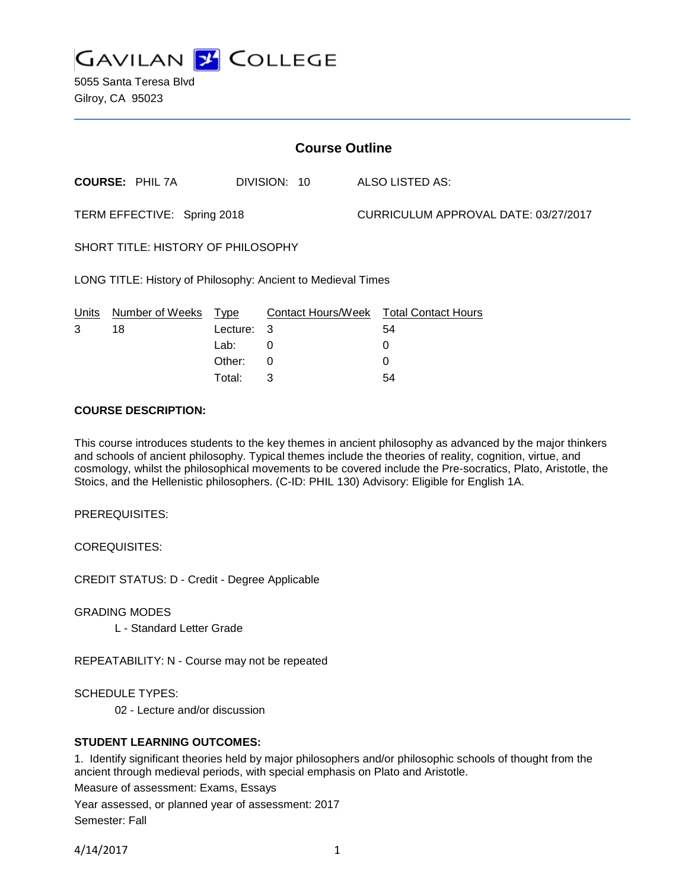

5055 Santa Teresa Blvd Gilroy, CA 95023

| <b>Course Outline</b>                                        |                        |          |              |  |                                        |
|--------------------------------------------------------------|------------------------|----------|--------------|--|----------------------------------------|
|                                                              | <b>COURSE: PHIL 7A</b> |          | DIVISION: 10 |  | ALSO LISTED AS:                        |
| TERM EFFECTIVE: Spring 2018                                  |                        |          |              |  | CURRICULUM APPROVAL DATE: 03/27/2017   |
| SHORT TITLE: HISTORY OF PHILOSOPHY                           |                        |          |              |  |                                        |
| LONG TITLE: History of Philosophy: Ancient to Medieval Times |                        |          |              |  |                                        |
| Units                                                        | Number of Weeks        | Type     |              |  | Contact Hours/Week Total Contact Hours |
| 3                                                            | 18                     | Lecture: | 3            |  | 54                                     |
|                                                              |                        | Lab:     | 0            |  | 0                                      |
|                                                              |                        | Other:   | 0            |  | $\Omega$                               |

#### **COURSE DESCRIPTION:**

This course introduces students to the key themes in ancient philosophy as advanced by the major thinkers and schools of ancient philosophy. Typical themes include the theories of reality, cognition, virtue, and cosmology, whilst the philosophical movements to be covered include the Pre-socratics, Plato, Aristotle, the Stoics, and the Hellenistic philosophers. (C-ID: PHIL 130) Advisory: Eligible for English 1A.

Total: 3 54

PREREQUISITES:

COREQUISITES:

CREDIT STATUS: D - Credit - Degree Applicable

GRADING MODES

L - Standard Letter Grade

REPEATABILITY: N - Course may not be repeated

SCHEDULE TYPES:

02 - Lecture and/or discussion

#### **STUDENT LEARNING OUTCOMES:**

1. Identify significant theories held by major philosophers and/or philosophic schools of thought from the ancient through medieval periods, with special emphasis on Plato and Aristotle.

Measure of assessment: Exams, Essays

Year assessed, or planned year of assessment: 2017 Semester: Fall

4/14/2017 1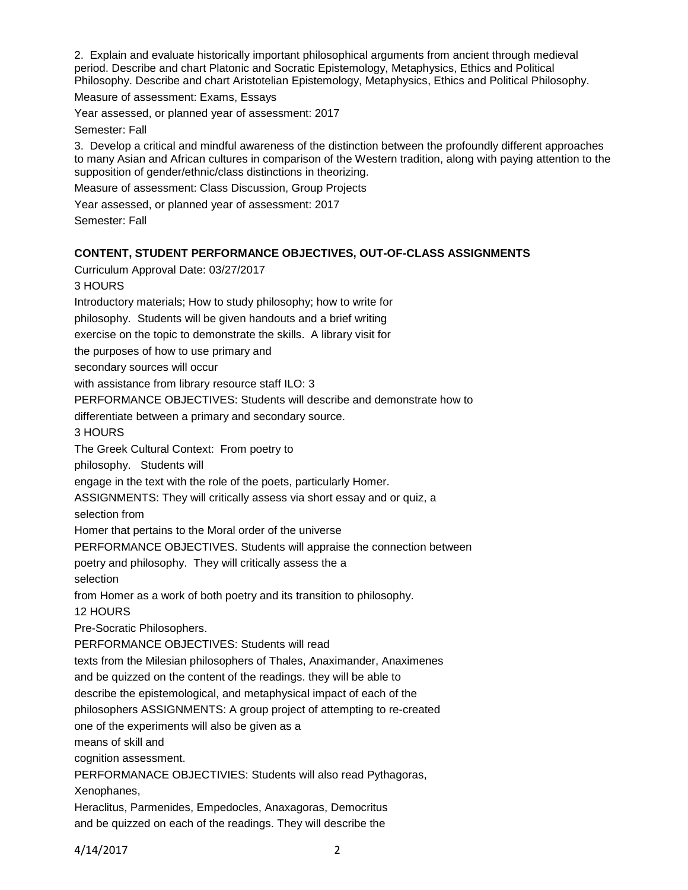2. Explain and evaluate historically important philosophical arguments from ancient through medieval period. Describe and chart Platonic and Socratic Epistemology, Metaphysics, Ethics and Political Philosophy. Describe and chart Aristotelian Epistemology, Metaphysics, Ethics and Political Philosophy.

Measure of assessment: Exams, Essays

Year assessed, or planned year of assessment: 2017

Semester: Fall

3. Develop a critical and mindful awareness of the distinction between the profoundly different approaches to many Asian and African cultures in comparison of the Western tradition, along with paying attention to the supposition of gender/ethnic/class distinctions in theorizing.

Measure of assessment: Class Discussion, Group Projects

Year assessed, or planned year of assessment: 2017

Semester: Fall

# **CONTENT, STUDENT PERFORMANCE OBJECTIVES, OUT-OF-CLASS ASSIGNMENTS**

Curriculum Approval Date: 03/27/2017 3 HOURS Introductory materials; How to study philosophy; how to write for philosophy. Students will be given handouts and a brief writing exercise on the topic to demonstrate the skills. A library visit for the purposes of how to use primary and secondary sources will occur with assistance from library resource staff ILO: 3 PERFORMANCE OBJECTIVES: Students will describe and demonstrate how to differentiate between a primary and secondary source. 3 HOURS The Greek Cultural Context: From poetry to philosophy. Students will engage in the text with the role of the poets, particularly Homer. ASSIGNMENTS: They will critically assess via short essay and or quiz, a selection from Homer that pertains to the Moral order of the universe PERFORMANCE OBJECTIVES. Students will appraise the connection between poetry and philosophy. They will critically assess the a selection from Homer as a work of both poetry and its transition to philosophy. 12 HOURS Pre-Socratic Philosophers. PERFORMANCE OBJECTIVES: Students will read texts from the Milesian philosophers of Thales, Anaximander, Anaximenes and be quizzed on the content of the readings. they will be able to describe the epistemological, and metaphysical impact of each of the philosophers ASSIGNMENTS: A group project of attempting to re-created one of the experiments will also be given as a means of skill and cognition assessment. PERFORMANACE OBJECTIVIES: Students will also read Pythagoras, Xenophanes, Heraclitus, Parmenides, Empedocles, Anaxagoras, Democritus and be quizzed on each of the readings. They will describe the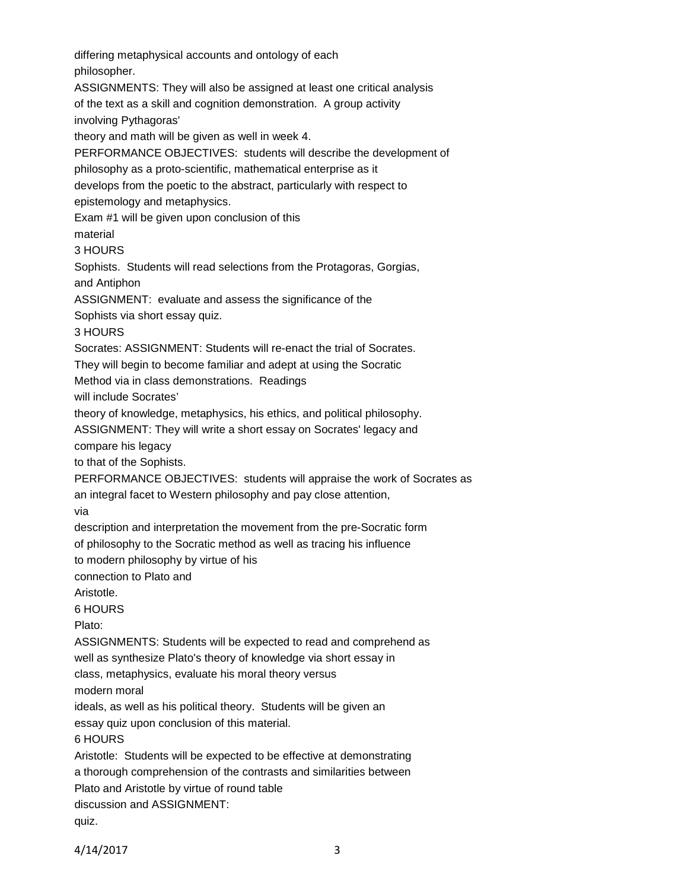differing metaphysical accounts and ontology of each philosopher. ASSIGNMENTS: They will also be assigned at least one critical analysis of the text as a skill and cognition demonstration. A group activity involving Pythagoras' theory and math will be given as well in week 4. PERFORMANCE OBJECTIVES: students will describe the development of philosophy as a proto-scientific, mathematical enterprise as it develops from the poetic to the abstract, particularly with respect to epistemology and metaphysics. Exam #1 will be given upon conclusion of this material 3 HOURS Sophists. Students will read selections from the Protagoras, Gorgias, and Antiphon ASSIGNMENT: evaluate and assess the significance of the Sophists via short essay quiz. 3 HOURS Socrates: ASSIGNMENT: Students will re-enact the trial of Socrates. They will begin to become familiar and adept at using the Socratic Method via in class demonstrations. Readings will include Socrates' theory of knowledge, metaphysics, his ethics, and political philosophy. ASSIGNMENT: They will write a short essay on Socrates' legacy and compare his legacy to that of the Sophists. PERFORMANCE OBJECTIVES: students will appraise the work of Socrates as an integral facet to Western philosophy and pay close attention, via description and interpretation the movement from the pre-Socratic form of philosophy to the Socratic method as well as tracing his influence to modern philosophy by virtue of his connection to Plato and Aristotle. 6 HOURS Plato: ASSIGNMENTS: Students will be expected to read and comprehend as well as synthesize Plato's theory of knowledge via short essay in class, metaphysics, evaluate his moral theory versus modern moral ideals, as well as his political theory. Students will be given an essay quiz upon conclusion of this material. 6 HOURS Aristotle: Students will be expected to be effective at demonstrating a thorough comprehension of the contrasts and similarities between Plato and Aristotle by virtue of round table discussion and ASSIGNMENT: quiz.

4/14/2017 3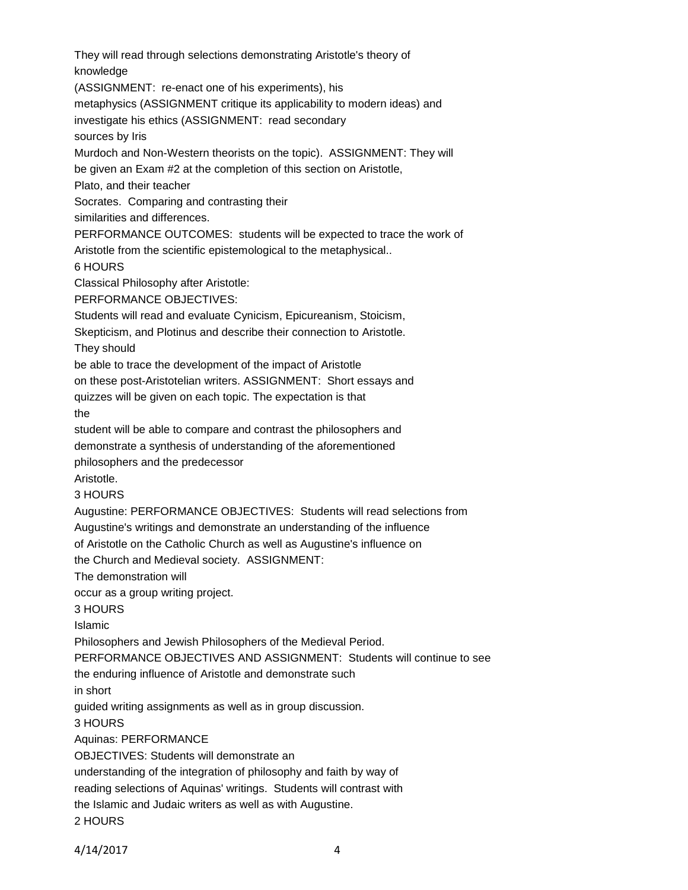They will read through selections demonstrating Aristotle's theory of knowledge (ASSIGNMENT: re-enact one of his experiments), his metaphysics (ASSIGNMENT critique its applicability to modern ideas) and investigate his ethics (ASSIGNMENT: read secondary sources by Iris Murdoch and Non-Western theorists on the topic). ASSIGNMENT: They will be given an Exam #2 at the completion of this section on Aristotle, Plato, and their teacher Socrates. Comparing and contrasting their similarities and differences. PERFORMANCE OUTCOMES: students will be expected to trace the work of Aristotle from the scientific epistemological to the metaphysical.. 6 HOURS Classical Philosophy after Aristotle: PERFORMANCE OBJECTIVES: Students will read and evaluate Cynicism, Epicureanism, Stoicism, Skepticism, and Plotinus and describe their connection to Aristotle. They should be able to trace the development of the impact of Aristotle on these post-Aristotelian writers. ASSIGNMENT: Short essays and quizzes will be given on each topic. The expectation is that the student will be able to compare and contrast the philosophers and demonstrate a synthesis of understanding of the aforementioned philosophers and the predecessor Aristotle. 3 HOURS Augustine: PERFORMANCE OBJECTIVES: Students will read selections from Augustine's writings and demonstrate an understanding of the influence of Aristotle on the Catholic Church as well as Augustine's influence on the Church and Medieval society. ASSIGNMENT: The demonstration will occur as a group writing project. 3 HOURS Islamic Philosophers and Jewish Philosophers of the Medieval Period. PERFORMANCE OBJECTIVES AND ASSIGNMENT: Students will continue to see the enduring influence of Aristotle and demonstrate such in short guided writing assignments as well as in group discussion. 3 HOURS Aquinas: PERFORMANCE OBJECTIVES: Students will demonstrate an understanding of the integration of philosophy and faith by way of reading selections of Aquinas' writings. Students will contrast with the Islamic and Judaic writers as well as with Augustine. 2 HOURS

4/14/2017 4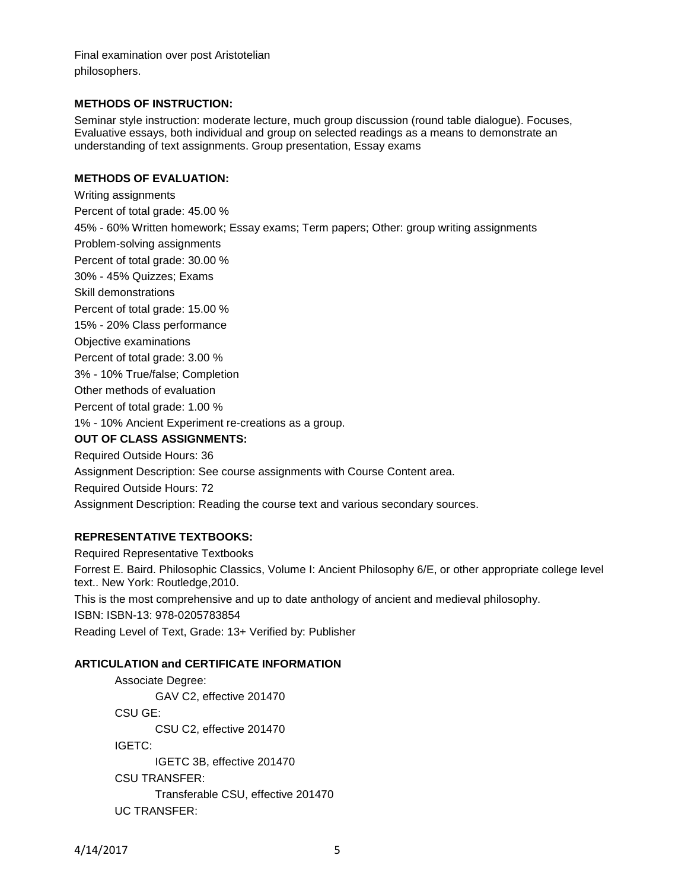Final examination over post Aristotelian philosophers.

#### **METHODS OF INSTRUCTION:**

Seminar style instruction: moderate lecture, much group discussion (round table dialogue). Focuses, Evaluative essays, both individual and group on selected readings as a means to demonstrate an understanding of text assignments. Group presentation, Essay exams

# **METHODS OF EVALUATION:**

Writing assignments Percent of total grade: 45.00 % 45% - 60% Written homework; Essay exams; Term papers; Other: group writing assignments Problem-solving assignments Percent of total grade: 30.00 % 30% - 45% Quizzes; Exams Skill demonstrations Percent of total grade: 15.00 % 15% - 20% Class performance Objective examinations Percent of total grade: 3.00 % 3% - 10% True/false; Completion Other methods of evaluation Percent of total grade: 1.00 % 1% - 10% Ancient Experiment re-creations as a group. **OUT OF CLASS ASSIGNMENTS:** Required Outside Hours: 36 Assignment Description: See course assignments with Course Content area. Required Outside Hours: 72 Assignment Description: Reading the course text and various secondary sources.

# **REPRESENTATIVE TEXTBOOKS:**

Required Representative Textbooks Forrest E. Baird. Philosophic Classics, Volume I: Ancient Philosophy 6/E, or other appropriate college level text.. New York: Routledge,2010. This is the most comprehensive and up to date anthology of ancient and medieval philosophy. ISBN: ISBN-13: 978-0205783854 Reading Level of Text, Grade: 13+ Verified by: Publisher

# **ARTICULATION and CERTIFICATE INFORMATION**

Associate Degree: GAV C2, effective 201470 CSU GE: CSU C2, effective 201470 IGETC: IGETC 3B, effective 201470 CSU TRANSFER: Transferable CSU, effective 201470 UC TRANSFER: